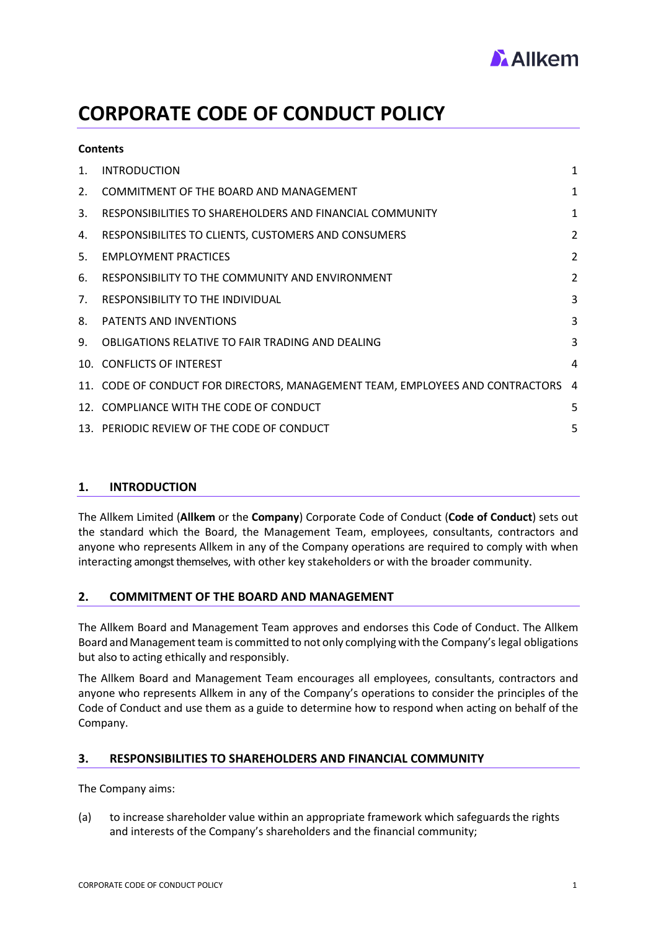

# **CORPORATE CODE OF CONDUCT POLICY**

| 1. | <b>INTRODUCTION</b>                                                             | $\mathbf{1}$   |
|----|---------------------------------------------------------------------------------|----------------|
| 2. | COMMITMENT OF THE BOARD AND MANAGEMENT                                          | 1              |
| 3. | RESPONSIBILITIES TO SHAREHOLDERS AND FINANCIAL COMMUNITY                        | 1              |
| 4. | RESPONSIBILITES TO CLIENTS, CUSTOMERS AND CONSUMERS                             | $\overline{2}$ |
| 5. | <b>EMPLOYMENT PRACTICES</b>                                                     | 2              |
| 6. | RESPONSIBILITY TO THE COMMUNITY AND ENVIRONMENT                                 | 2              |
| 7. | <b>RESPONSIBILITY TO THE INDIVIDUAL</b>                                         | 3              |
| 8. | <b>PATENTS AND INVENTIONS</b>                                                   | 3              |
| 9. | OBLIGATIONS RELATIVE TO FAIR TRADING AND DEALING                                | 3              |
|    | 10. CONFLICTS OF INTEREST                                                       | 4              |
|    | 11. CODE OF CONDUCT FOR DIRECTORS, MANAGEMENT TEAM, EMPLOYEES AND CONTRACTORS 4 |                |
|    | 12. COMPLIANCE WITH THE CODE OF CONDUCT                                         | 5              |
|    | 13. PERIODIC REVIEW OF THE CODE OF CONDUCT                                      | 5              |

# <span id="page-0-0"></span>**1. INTRODUCTION**

**Contents**

The Allkem Limited (**Allkem** or the **Company**) Corporate Code of Conduct (**Code of Conduct**) sets out the standard which the Board, the Management Team, employees, consultants, contractors and anyone who represents Allkem in any of the Company operations are required to comply with when interacting amongst themselves, with other key stakeholders or with the broader community.

# <span id="page-0-1"></span>**2. COMMITMENT OF THE BOARD AND MANAGEMENT**

The Allkem Board and Management Team approves and endorses this Code of Conduct. The Allkem Board and Management team is committed to not only complying with the Company's legal obligations but also to acting ethically and responsibly.

The Allkem Board and Management Team encourages all employees, consultants, contractors and anyone who represents Allkem in any of the Company's operations to consider the principles of the Code of Conduct and use them as a guide to determine how to respond when acting on behalf of the Company.

# <span id="page-0-2"></span>**3. RESPONSIBILITIES TO SHAREHOLDERS AND FINANCIAL COMMUNITY**

The Company aims:

(a) to increase shareholder value within an appropriate framework which safeguards the rights and interests of the Company's shareholders and the financial community;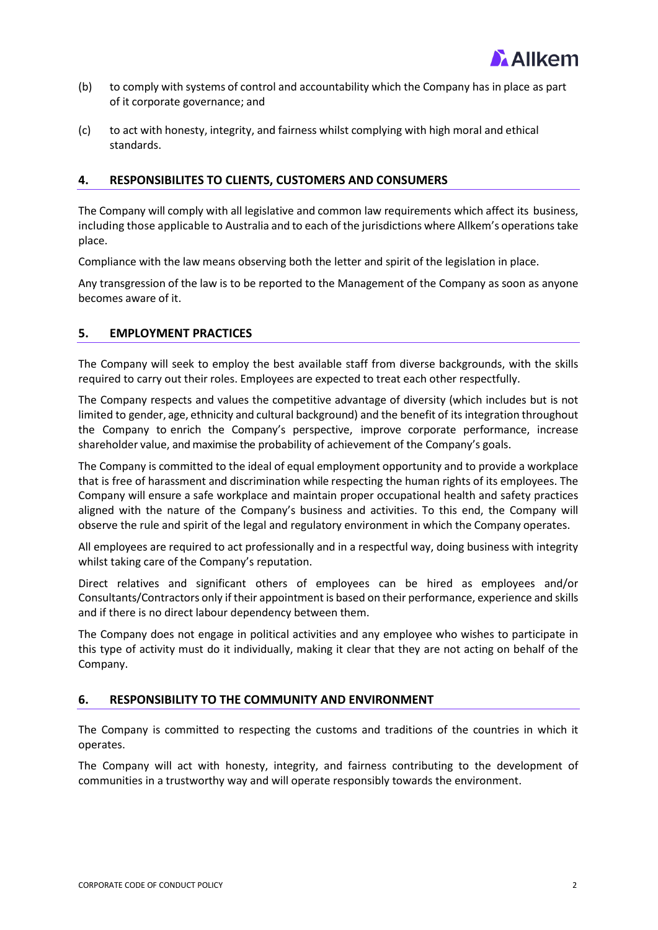

- (b) to comply with systems of control and accountability which the Company has in place as part of it corporate governance; and
- (c) to act with honesty, integrity, and fairness whilst complying with high moral and ethical standards.

## <span id="page-1-0"></span>**4. RESPONSIBILITES TO CLIENTS, CUSTOMERS AND CONSUMERS**

The Company will comply with all legislative and common law requirements which affect its business, including those applicable to Australia and to each of the jurisdictions where Allkem's operationstake place.

Compliance with the law means observing both the letter and spirit of the legislation in place.

Any transgression of the law is to be reported to the Management of the Company as soon as anyone becomes aware of it.

#### <span id="page-1-1"></span>**5. EMPLOYMENT PRACTICES**

The Company will seek to employ the best available staff from diverse backgrounds, with the skills required to carry out their roles. Employees are expected to treat each other respectfully.

The Company respects and values the competitive advantage of diversity (which includes but is not limited to gender, age, ethnicity and cultural background) and the benefit of its integration throughout the Company to enrich the Company's perspective, improve corporate performance, increase shareholder value, and maximise the probability of achievement of the Company's goals.

The Company is committed to the ideal of equal employment opportunity and to provide a workplace that is free of harassment and discrimination while respecting the human rights of its employees. The Company will ensure a safe workplace and maintain proper occupational health and safety practices aligned with the nature of the Company's business and activities. To this end, the Company will observe the rule and spirit of the legal and regulatory environment in which the Company operates.

All employees are required to act professionally and in a respectful way, doing business with integrity whilst taking care of the Company's reputation.

Direct relatives and significant others of employees can be hired as employees and/or Consultants/Contractors only if their appointment is based on their performance, experience and skills and if there is no direct labour dependency between them.

The Company does not engage in political activities and any employee who wishes to participate in this type of activity must do it individually, making it clear that they are not acting on behalf of the Company.

#### <span id="page-1-2"></span>**6. RESPONSIBILITY TO THE COMMUNITY AND ENVIRONMENT**

The Company is committed to respecting the customs and traditions of the countries in which it operates.

The Company will act with honesty, integrity, and fairness contributing to the development of communities in a trustworthy way and will operate responsibly towards the environment.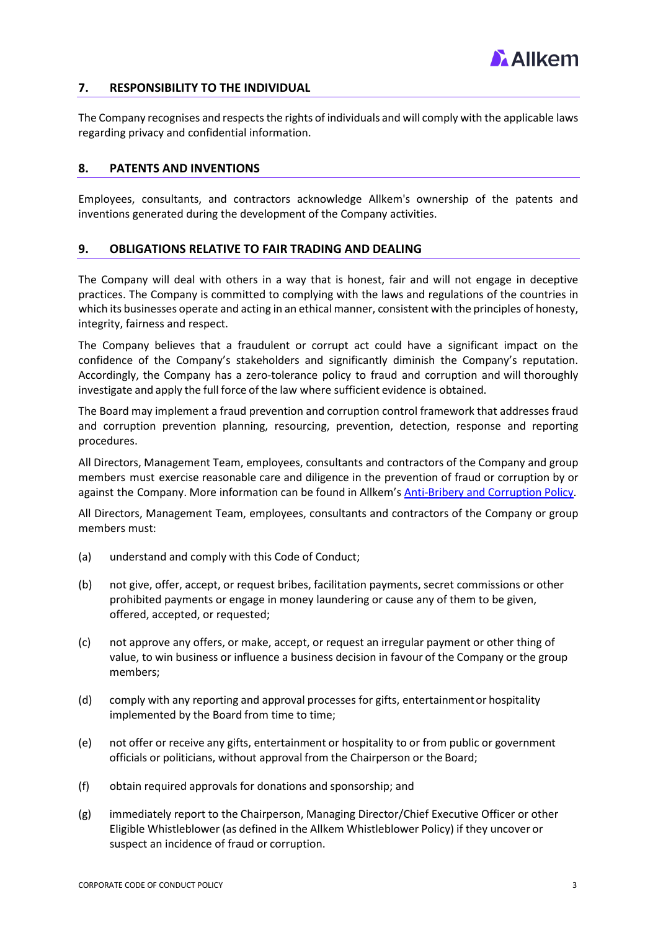

# <span id="page-2-0"></span>**7. RESPONSIBILITY TO THE INDIVIDUAL**

The Company recognises and respects the rights of individuals and will comply with the applicable laws regarding privacy and confidential information.

#### <span id="page-2-1"></span>**8. PATENTS AND INVENTIONS**

Employees, consultants, and contractors acknowledge Allkem's ownership of the patents and inventions generated during the development of the Company activities.

#### <span id="page-2-2"></span>**9. OBLIGATIONS RELATIVE TO FAIR TRADING AND DEALING**

The Company will deal with others in a way that is honest, fair and will not engage in deceptive practices. The Company is committed to complying with the laws and regulations of the countries in which its businesses operate and acting in an ethical manner, consistent with the principles of honesty, integrity, fairness and respect.

The Company believes that a fraudulent or corrupt act could have a significant impact on the confidence of the Company's stakeholders and significantly diminish the Company's reputation. Accordingly, the Company has a zero-tolerance policy to fraud and corruption and will thoroughly investigate and apply the full force of the law where sufficient evidence is obtained.

The Board may implement a fraud prevention and corruption control framework that addresses fraud and corruption prevention planning, resourcing, prevention, detection, response and reporting procedures.

All Directors, Management Team, employees, consultants and contractors of the Company and group members must exercise reasonable care and diligence in the prevention of fraud or corruption by or against the Company. More information can be found in Allkem's Anti-Bribery and [Corruption Policy.](https://www.orocobre.com/wp/?mdocs-file=4935)

All Directors, Management Team, employees, consultants and contractors of the Company or group members must:

- (a) understand and comply with this Code of Conduct;
- (b) not give, offer, accept, or request bribes, facilitation payments, secret commissions or other prohibited payments or engage in money laundering or cause any of them to be given, offered, accepted, or requested;
- (c) not approve any offers, or make, accept, or request an irregular payment or other thing of value, to win business or influence a business decision in favour of the Company or the group members;
- (d) comply with any reporting and approval processes for gifts, entertainmentor hospitality implemented by the Board from time to time;
- (e) not offer or receive any gifts, entertainment or hospitality to or from public or government officials or politicians, without approval from the Chairperson or the Board;
- (f) obtain required approvals for donations and sponsorship; and
- (g) immediately report to the Chairperson, Managing Director/Chief Executive Officer or other Eligible Whistleblower (as defined in the Allkem Whistleblower Policy) if they uncover or suspect an incidence of fraud or corruption.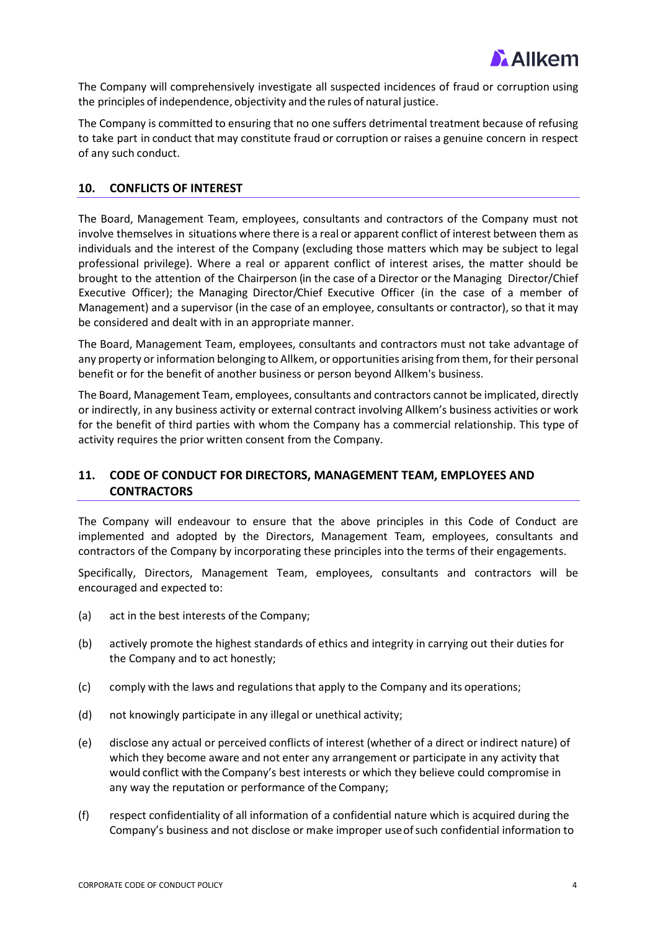

The Company will comprehensively investigate all suspected incidences of fraud or corruption using the principles of independence, objectivity and the rules of natural justice.

The Company is committed to ensuring that no one suffers detrimental treatment because of refusing to take part in conduct that may constitute fraud or corruption or raises a genuine concern in respect of any such conduct.

### <span id="page-3-0"></span>**10. CONFLICTS OF INTEREST**

The Board, Management Team, employees, consultants and contractors of the Company must not involve themselves in situations where there is a real or apparent conflict of interest between them as individuals and the interest of the Company (excluding those matters which may be subject to legal professional privilege). Where a real or apparent conflict of interest arises, the matter should be brought to the attention of the Chairperson (in the case of a Director or the Managing Director/Chief Executive Officer); the Managing Director/Chief Executive Officer (in the case of a member of Management) and a supervisor (in the case of an employee, consultants or contractor), so that it may be considered and dealt with in an appropriate manner.

The Board, Management Team, employees, consultants and contractors must not take advantage of any property or information belonging to Allkem, or opportunities arising from them, for their personal benefit or for the benefit of another business or person beyond Allkem's business.

The Board, Management Team, employees, consultants and contractors cannot be implicated, directly or indirectly, in any business activity or external contract involving Allkem's business activities or work for the benefit of third parties with whom the Company has a commercial relationship. This type of activity requires the prior written consent from the Company.

# <span id="page-3-1"></span>**11. CODE OF CONDUCT FOR DIRECTORS, MANAGEMENT TEAM, EMPLOYEES AND CONTRACTORS**

The Company will endeavour to ensure that the above principles in this Code of Conduct are implemented and adopted by the Directors, Management Team, employees, consultants and contractors of the Company by incorporating these principles into the terms of their engagements.

Specifically, Directors, Management Team, employees, consultants and contractors will be encouraged and expected to:

- (a) act in the best interests of the Company;
- (b) actively promote the highest standards of ethics and integrity in carrying out their duties for the Company and to act honestly;
- (c) comply with the laws and regulations that apply to the Company and its operations;
- (d) not knowingly participate in any illegal or unethical activity;
- (e) disclose any actual or perceived conflicts of interest (whether of a direct or indirect nature) of which they become aware and not enter any arrangement or participate in any activity that would conflict with the Company's best interests or which they believe could compromise in any way the reputation or performance of the Company;
- (f) respect confidentiality of all information of a confidential nature which is acquired during the Company's business and not disclose or make improper useofsuch confidential information to